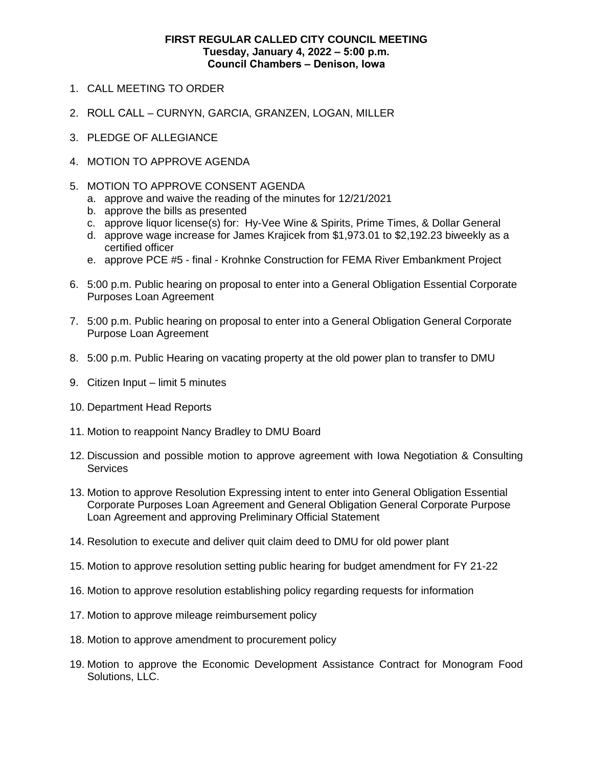## **FIRST REGULAR CALLED CITY COUNCIL MEETING Tuesday, January 4, 2022 ‒ 5:00 p.m. Council Chambers ‒ Denison, Iowa**

- 1. CALL MEETING TO ORDER
- 2. ROLL CALL CURNYN, GARCIA, GRANZEN, LOGAN, MILLER
- 3. PLEDGE OF ALLEGIANCE
- 4. MOTION TO APPROVE AGENDA
- 5. MOTION TO APPROVE CONSENT AGENDA
	- a. approve and waive the reading of the minutes for 12/21/2021
	- b. approve the bills as presented
	- c. approve liquor license(s) for: Hy-Vee Wine & Spirits, Prime Times, & Dollar General
	- d. approve wage increase for James Krajicek from \$1,973.01 to \$2,192.23 biweekly as a certified officer
	- e. approve PCE #5 final Krohnke Construction for FEMA River Embankment Project
- 6. 5:00 p.m. Public hearing on proposal to enter into a General Obligation Essential Corporate Purposes Loan Agreement
- 7. 5:00 p.m. Public hearing on proposal to enter into a General Obligation General Corporate Purpose Loan Agreement
- 8. 5:00 p.m. Public Hearing on vacating property at the old power plan to transfer to DMU
- 9. Citizen Input limit 5 minutes
- 10. Department Head Reports
- 11. Motion to reappoint Nancy Bradley to DMU Board
- 12. Discussion and possible motion to approve agreement with Iowa Negotiation & Consulting **Services**
- 13. Motion to approve Resolution Expressing intent to enter into General Obligation Essential Corporate Purposes Loan Agreement and General Obligation General Corporate Purpose Loan Agreement and approving Preliminary Official Statement
- 14. Resolution to execute and deliver quit claim deed to DMU for old power plant
- 15. Motion to approve resolution setting public hearing for budget amendment for FY 21-22
- 16. Motion to approve resolution establishing policy regarding requests for information
- 17. Motion to approve mileage reimbursement policy
- 18. Motion to approve amendment to procurement policy
- 19. Motion to approve the Economic Development Assistance Contract for Monogram Food Solutions, LLC.